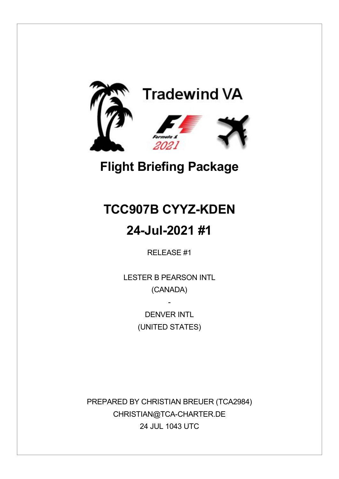

# **Flight Briefing Package**

# **TCC907B CYYZ-KDEN**

## **24-Jul-2021 #1**

RELEASE #1

LESTER B PEARSON INTL (CANADA)

> DENVER INTI (UNITED STATES)

-

PREPARED BY CHRISTIAN BREUER (TCA2984) CHRISTIAN@TCA-CHARTER.DE 24 JUL 1043 UTC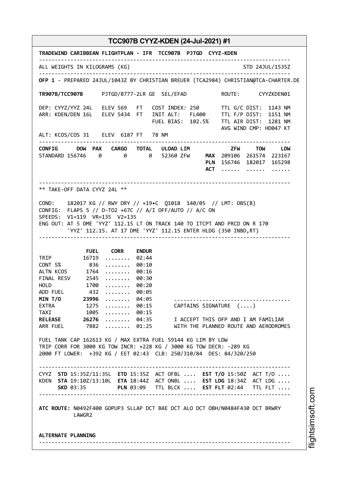**TRADEWIND CARIBBEAN FLIGHTPLAN - IFR TCC907B PJTGD CYYZ-KDEN** -------------------------------------------------------------------------------- ALL WEIGHTS IN KILOGRAMS (KG) STO 24JUL/1535Z -------------------------------------------------------------------------------- **OFP 1** - PREPARED 24JUL/1043Z BY CHRISTIAN BREUER (TCA2984) CHRISTIAN@TCA-CHARTER.DE **TR907B/TCC907B** PJTGD/B777-2LR GE SEL/EFAD ROUTE: CYYZKDEN01 DEP: CYYZ/YYZ 24L ELEV 569 FT COST INDEX: 250 TTL G/C DIST: 1143 NM ARR: KDEN/DEN 16L ELEV 5434 FT INIT ALT: FL400 TTL F/P DIST: 1151 NM FUEL BIAS: 102.5% TTL AIR DIST: 1281 NM AVG WIND CMP: HD047 KT ALT: KCOS/COS 31 ELEV 6187 FT 78 NM -------------------------------------------------------------------------------- **CONFIG DOW PAX CARGO TOTAL ULOAD LIM ZFW TOW LDW** STANDARD 156746 0 0 0 52360 ZFW **MAX** 209106 261574 223167 **PLN** 156746 182017 165298 **ACT** ...... ...... ...... -------------------------------------------------------------------------------- \*\* TAKE-OFF DATA CYYZ 24L \*\* COND: 182017 KG // RWY DRY // +19•C Q1018 140/05 // LMT: OBS(B) CONFIG: FLAPS 5 // D-TO2 +67C // A/I OFF/AUTO // A/C ON SPEEDS: V1=119 VR=135 V2=135 ENG OUT: AT 5 DME 'YYZ' 112.15 LT ON TRACK 140 TO ITCPT AND PRCD ON R 170 'YYZ' 112.15. AT 17 DME 'YYZ' 112.15 ENTER HLDG (350 INBD,RT) -------------------------------------------------------------------------------- **FUEL CORR ENDUR** TRIP 16719 ........ 02:44<br>CONT 5% 836 ........ 00:10 CONT 5% 836 ........ 00:10 ALTN KCOS 1764 ........ 00:16 FINAL RESV 2545 ........ 00:30 HOLD 1700 ........ 00:20 ADD FUEL 432 ........ 00:05 **MIN T/O 23996** ........ 04:05 ..................................... EXTRA 1275 ........ 00:15 CAPTAINS SIGNATURE (....)<br>TAXI 1005 ........ 00:15 TAXI 1005 ........ 00:15<br>RELEASE 26276 ........ 04:35 **RELEASE 26276** ........ 04:35 I ACCEPT THIS OFP AND I AM FAMILIAR<br>ARR FUEL 7882 ........ 01:25 WITH THE PLANNED ROUTE AND AERODROME 7882 ........ 01:25 WITH THE PLANNED ROUTE AND AERODROMES FUEL TANK CAP 162613 KG / MAX EXTRA FUEL 59144 KG LIM BY LDW TRIP CORR FOR 3000 KG TOW INCR: +228 KG / 3000 KG TOW DECR: -289 KG 2000 FT LOWER: +392 KG / EET 02:43 CLB: 250/310/84 DES: 84/320/250 -------------------------------------------------------------------------------- CYYZ **STD** 15:35Z/11:35L **ETD** 15:35Z ACT OFBL .... **EST T/O** 15:50Z ACT T/O .... KDEN **STA** 19:10Z/13:10L **ETA** 18:44Z ACT ONBL .... **EST LDG** 18:34Z ACT LDG .... **SKD** 03:35 **PLN** 03:09 TTL BLCK .... **EST FLT** 02:44 TTL FLT .... -------------------------------------------------------------------------------- **ATC ROUTE:** N0492F400 GOPUP3 SLLAP DCT BAE DCT ALO DCT OBH/N0484F430 DCT BRWRY LAWGR2 **ALTERNATE PLANNING** --------------------------------------------------------------------------------

m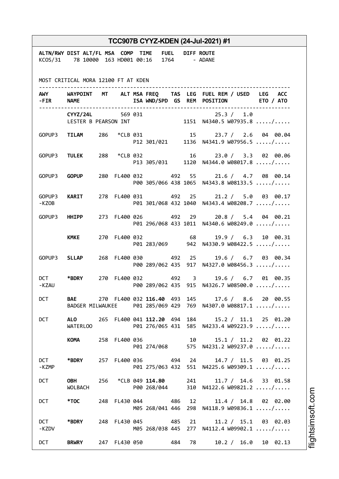| TCC907B CYYZ-KDEN (24-Jul-2021) #1  |                                                                                                                                                                                                                                |  |  |  |                                    |  |  |                                                                                                                 |  |
|-------------------------------------|--------------------------------------------------------------------------------------------------------------------------------------------------------------------------------------------------------------------------------|--|--|--|------------------------------------|--|--|-----------------------------------------------------------------------------------------------------------------|--|
|                                     | ALTN/RWY DIST ALT/FL MSA COMP TIME FUEL DIFF ROUTE<br>KCOS/31 78 10000 163 HD001 00:16 1764 - ADANE                                                                                                                            |  |  |  |                                    |  |  |                                                                                                                 |  |
| MOST CRITICAL MORA 12100 FT AT KDEN |                                                                                                                                                                                                                                |  |  |  |                                    |  |  |                                                                                                                 |  |
|                                     | -FIR NAME                                                                                                                                                                                                                      |  |  |  |                                    |  |  | AWY WAYPOINT MT ALT MSA FREQ TAS LEG FUEL REM / USED LEG ACC<br>ISA WND/SPD GS REM POSITION ETO / ATO           |  |
|                                     |                                                                                                                                                                                                                                |  |  |  |                                    |  |  | CYYZ/24L 569 031 25.3 / 1.0<br>LESTER B PEARSON INT 1151 N4340.5 W07935.8 /                                     |  |
|                                     |                                                                                                                                                                                                                                |  |  |  |                                    |  |  | GOPUP3 TILAM 286 *CLB 031 15 23.7 / 2.6 04 00.04<br>P12 301/021 1136 N4341.9 W07956.5 /                         |  |
|                                     |                                                                                                                                                                                                                                |  |  |  |                                    |  |  | GOPUP3 TULEK 288 *CLB 032 16 23.0 / 3.3 02 00.06<br>P13 305/031 1120 N4344.0 W08017.8 /                         |  |
|                                     | GOPUP3 <b>GOPUP</b>                                                                                                                                                                                                            |  |  |  |                                    |  |  | 280 FL400 032 492 55 21.6 / 4.7 08 00.14<br>P00 305/066 438 1065 N4343.8 W08133.5 /                             |  |
| -KZOB                               | GOPUP3 KARIT                                                                                                                                                                                                                   |  |  |  |                                    |  |  | 278 FL400 031 492 25 21.2 / 5.0 03 00.17<br>P01 301/068 432 1040 N4343.4 W08208.7 /                             |  |
|                                     | GOPUP3 HHIPP                                                                                                                                                                                                                   |  |  |  |                                    |  |  | 273 FL400 026 492 29 20.8 / 5.4 04 00.21<br>P01 296/068 433 1011 N4340.6 W08249.0 /                             |  |
|                                     | <b>KMKE</b>                                                                                                                                                                                                                    |  |  |  | 270 FL400 032 68                   |  |  | 19.9 / 6.3 10 00.31<br>P01 283/069 942 N4330.9 W08422.5 /                                                       |  |
|                                     | GOPUP3 SLLAP                                                                                                                                                                                                                   |  |  |  | 268 FL400 030 492 25               |  |  | 19.6 / 6.7 03 00.34<br>P00 289/062 435 917 N4327.0 W08456.3 /                                                   |  |
| -KZAU                               | DCT *BDRY                                                                                                                                                                                                                      |  |  |  | 270 FL400 032 492 3                |  |  | 19.6 / 6.7 01 00.35<br>P00 289/062 435 915 N4326.7 W08500.0 /                                                   |  |
| <b>DCT</b>                          |                                                                                                                                                                                                                                |  |  |  |                                    |  |  | BAE 270 FL400 032 116.40 493 145 17.6 / 8.6 20 00.55<br>BADGER MILWAUKEE P01 285/069 429 769 N4307.0 W08817.1 / |  |
| <b>DCT</b>                          | WATERLOO                                                                                                                                                                                                                       |  |  |  |                                    |  |  | ALO 265 FL400 041 112.20 494 184 15.2 / 11.1 25 01.20<br>P01 276/065 431 585 N4233.4 W09223.9 /                 |  |
|                                     | KOMANDO                                                                                                                                                                                                                        |  |  |  | 258 FL400 036 10                   |  |  | $15.1 / 11.2$ 02 01.22<br>P01 274/068 575 N4231.2 W09237.0 /                                                    |  |
| DCT<br>-KZMP                        | *BDRY                                                                                                                                                                                                                          |  |  |  |                                    |  |  | 257 FL400 036 494 24 14.7 / 11.5 03 01.25<br>P01 275/063 432 551 N4225.6 W09309.1 /                             |  |
| <b>DCT</b>                          | <b>OBH</b><br>WOLBACH                                                                                                                                                                                                          |  |  |  | 256 *CLB 049 114.80<br>P00 268/044 |  |  | 241<br>11.7 / 14.6 33 01.58<br>310 N4122.6 W09821.2 /                                                           |  |
| <b>DCT</b>                          | *TOC to the set of the set of the set of the set of the set of the set of the set of the set of the set of the set of the set of the set of the set of the set of the set of the set of the set of the set of the set of the s |  |  |  | 248 FL430 044 486                  |  |  | 12 and $\overline{a}$<br>11.4 / 14.8 02 02.00<br>M05 268/041 446 298 N4118.9 W09836.1 /                         |  |
| <b>DCT</b><br>-KZDV                 | *BDRY                                                                                                                                                                                                                          |  |  |  | 248 FL430 045 485                  |  |  | 21<br>$11.2 / 15.1$ 03 02.03<br>M05 268/038 445 277 N4112.4 W09902.1 /                                          |  |
| <b>DCT</b>                          | <b>BRWRY</b>                                                                                                                                                                                                                   |  |  |  | 247 FL430 050 484 78               |  |  | 10.2 / 16.0 10 02.13                                                                                            |  |

i⊒<br>⊫ htsim soft.c o

m

Ī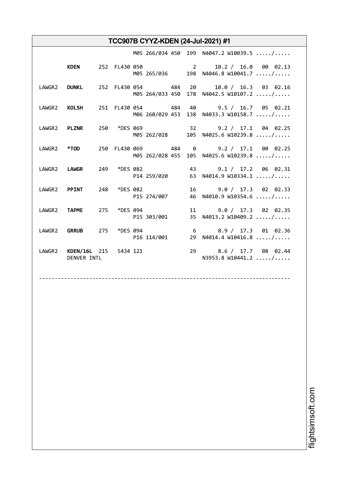|             |  |                                          | M05 266/034 450 199 N4047.2 W10039.5 /                                                           |
|-------------|--|------------------------------------------|--------------------------------------------------------------------------------------------------|
|             |  |                                          | KDEN 252 FL430 050 2 2 10.2 / 16.0 00 02.13<br>M05 265/036 198 N4046.8 W10041.7 /                |
|             |  |                                          | LAWGR2 DUNKL 252 FL430 054 484 20 10.0 / 16.3 03 02.16<br>M05 264/033 450 178 N4042.5 W10107.2 / |
|             |  |                                          | LAWGR2 KOLSH 251 FL430 054 484 40 9.5 / 16.7 05 02.21<br>M06 260/029 453 138 N4033.3 W10158.7 /  |
|             |  |                                          | LAWGR2 PLZNR 250 *DES 069 32 9.2 / 17.1 04 02.25<br>M05 262/028 105 N4025.6 W10239.8 /           |
|             |  |                                          | LAWGR2 *TOD 250 FL430 069 484 0 9.2 / 17.1 00 02.25<br>M05 262/028 455 105 N4025.6 W10239.8 /    |
|             |  |                                          | LAWGR2 LAWGR 249 *DES 082 43 9.1 / 17.2 06 02.31<br>P14 259/020 63 N4014.9 W10334.1 /            |
|             |  | LAWGR2 PPINT 248 *DES 082<br>P15 274/007 | 16 9.0 / 17.3 02 02.33<br>46 N4010.9 W10354.6 /                                                  |
|             |  | LAWGR2 TAPME 275 *DES 094<br>P15 303/001 | 11 9.0 / 17.3 02 02.35<br>35 N4013.2 W10409.2 /                                                  |
|             |  |                                          | LAWGR2 GRRUB 275 *DES 094 6 8.9 / 17.3 01 02.36<br>P16 114/001 29 N4014.4 W10416.8 /             |
| DENVER INTL |  | LAWGR2 KDEN/16L 215 5434 121             | 29 8.6 / 17.7 08 02.44<br>N3953.8 W10441.2  /                                                    |

--------------------------------------------------------------------------------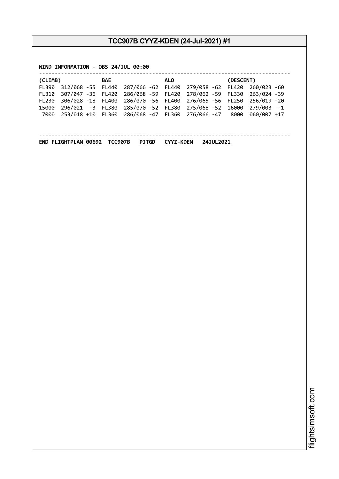**WIND INFORMATION - OBS 24/JUL 00:00**

| (CLIMB) |                    | BAE |                                                      | ALO. | (DESCENT)                                                         |
|---------|--------------------|-----|------------------------------------------------------|------|-------------------------------------------------------------------|
| FL390   |                    |     |                                                      |      | 312/068 -55 FL440 287/066 -62 FL440 279/058 -62 FL420 260/023 -60 |
| FL310   | 307/047 - 36 FL420 |     |                                                      |      | 286/068 -59 FL420 278/062 -59 FL330 263/024 -39                   |
| FL230   |                    |     |                                                      |      | 306/028 -18 FL400 286/070 -56 FL400 276/065 -56 FL250 256/019 -20 |
| 15000   | 296/021 -3 FL380   |     |                                                      |      | 285/070 -52 FL380 275/068 -52 16000 279/003 -1                    |
| 7000    |                    |     | 253/018 +10 FL360 286/068 -47 FL360 276/066 -47 8000 |      | 060/007 +17                                                       |
|         |                    |     |                                                      |      |                                                                   |
|         |                    |     |                                                      |      |                                                                   |

--------------------------------------------------------------------------------

**END FLIGHTPLAN 00692 TCC907B PJTGD CYYZ-KDEN 24JUL2021**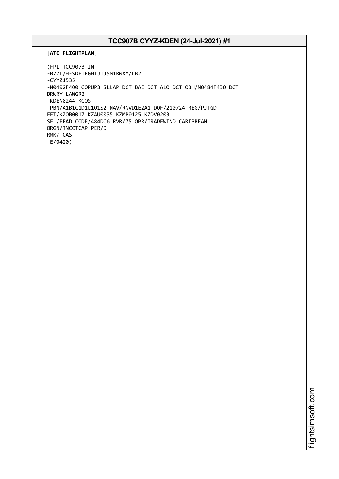```
[ATC FLIGHTPLAN]
```
(FPL-TCC907B-IN -B77L/H-SDE1FGHIJ1J5M1RWXY/LB2 -CYYZ1535 -N0492F400 GOPUP3 SLLAP DCT BAE DCT ALO DCT OBH/N0484F430 DCT BRWRY LAWGR2 -KDEN0244 KCOS -PBN/A1B1C1D1L1O1S2 NAV/RNVD1E2A1 DOF/210724 REG/PJTGD EET/KZOB0017 KZAU0035 KZMP0125 KZDV0203 SEL/EFAD CODE/484DC6 RVR/75 OPR/TRADEWIND CARIBBEAN ORGN/TNCCTCAP PER/D RMK/TCAS -E/0420)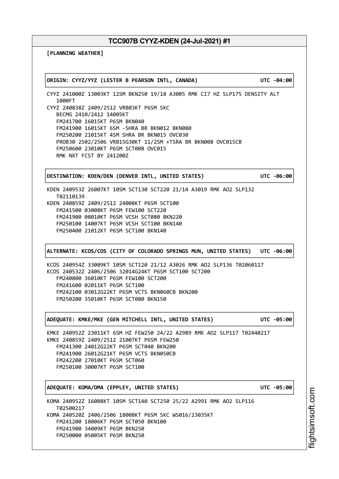┌──────────────────────────────────────────────────────────────────────────────┐

└──────────────────────────────────────────────────────────────────────────────┘

**[PLANNING WEATHER]**

│**ORIGIN: CYYZ/YYZ (LESTER B PEARSON INTL, CANADA) UTC -04:00**│

CYYZ 241000Z 13003KT 12SM BKN250 19/18 A3005 RMK CI7 HZ SLP175 DENSITY ALT 1000FT CYYZ 240838Z 2409/2512 VRB03KT P6SM SKC BECMG 2410/2412 14005KT FM241700 16015KT P6SM BKN040 FM241900 16015KT 6SM -SHRA BR BKN012 BKN080 FM250200 21015KT 4SM SHRA BR BKN015 OVC030 PROB30 2502/2506 VRB15G30KT 11/2SM +TSRA BR BKN008 OVC015CB FM250600 23010KT P6SM SCT008 OVC015 RMK NXT FCST BY 241200Z

│**DESTINATION: KDEN/DEN (DENVER INTL, UNITED STATES) UTC -06:00**│

┌──────────────────────────────────────────────────────────────────────────────┐

KDEN 240953Z 26007KT 10SM SCT130 SCT220 21/14 A3019 RMK AO2 SLP132 T02110139 KDEN 240859Z 2409/2512 24008KT P6SM SCT100 FM241500 03008KT P6SM FEW100 SCT220 FM241900 08010KT P6SM VCSH SCT080 BKN220 FM250100 14007KT P6SM VCSH SCT100 BKN140 FM250400 21012KT P6SM SCT100 BKN140

┌──────────────────────────────────────────────────────────────────────────────┐ │**ALTERNATE: KCOS/COS (CITY OF COLORADO SPRINGS MUN, UNITED STATES) UTC -06:00**│ └──────────────────────────────────────────────────────────────────────────────┘

┌──────────────────────────────────────────────────────────────────────────────┐

└──────────────────────────────────────────────────────────────────────────────┘

┌──────────────────────────────────────────────────────────────────────────────┐

└──────────────────────────────────────────────────────────────────────────────┘

└──────────────────────────────────────────────────────────────────────────────┘

KCOS 240954Z 33009KT 10SM SCT120 21/12 A3026 RMK AO2 SLP136 T02060117 KCOS 240532Z 2406/2506 32014G24KT P6SM SCT100 SCT200 FM240800 36010KT P6SM FEW100 SCT200 FM241600 02011KT P6SM SCT100 FM242100 03012G22KT P6SM VCTS BKN060CB BKN200 FM250200 35010KT P6SM SCT080 BKN150

│**ADEQUATE: KMKE/MKE (GEN MITCHELL INTL, UNITED STATES) UTC -05:00**│

KMKE 240952Z 23011KT 6SM HZ FEW250 24/22 A2989 RMK AO2 SLP117 T02440217 KMKE 240859Z 2409/2512 21007KT P6SM FEW250 FM241300 24012G22KT P6SM SCT040 BKN200 FM241900 26012G21KT P6SM VCTS BKN050CB FM242200 27010KT P6SM SCT060 FM250100 30007KT P6SM SCT100

│**ADEQUATE: KOMA/OMA (EPPLEY, UNITED STATES) UTC -05:00**│

KOMA 240952Z 16008KT 10SM SCT140 SCT250 25/22 A2991 RMK AO2 SLP116 T02500217 KOMA 240520Z 2406/2506 18008KT P6SM SKC WS016/23035KT FM241200 18006KT P6SM SCT050 BKN100 FM241900 34009KT P6SM BKN250 FM250000 05005KT P6SM BKN250

i⊒<br>⊫ htsim soft.c om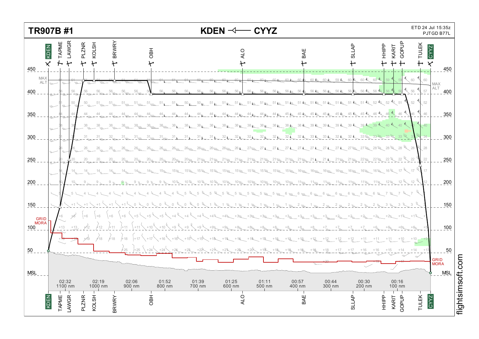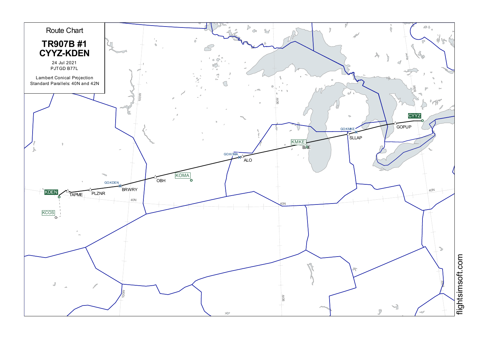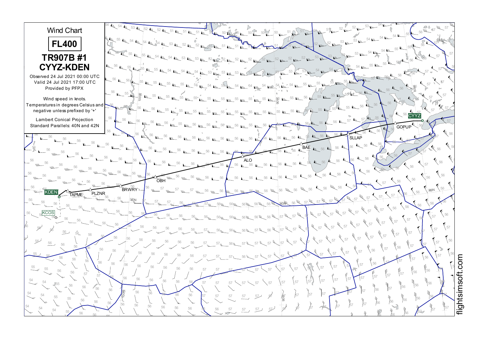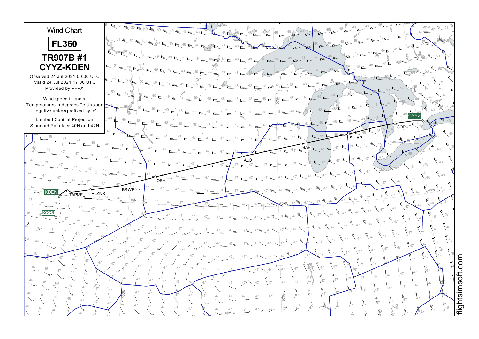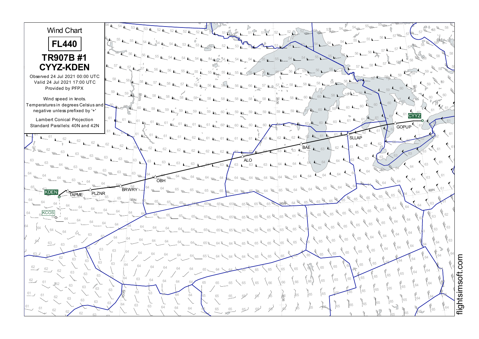